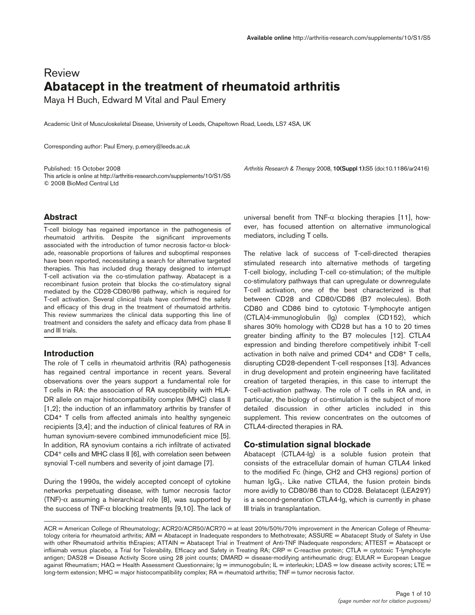# Review **Abatacept in the treatment of rheumatoid arthritis**

Maya H Buch, Edward M Vital and Paul Emery

Academic Unit of Musculoskeletal Disease, University of Leeds, Chapeltown Road, Leeds, LS7 4SA, UK

Corresponding author: Paul Emery, p.emery@leeds.ac.uk

Published: 15 October 2008 *Arthritis Research & Therapy* 2008, **10(Suppl 1):**S5 (doi:10.1186/ar2416) This article is online at http://arthritis-research.com/supplements/10/S1/S5 © 2008 BioMed Central Ltd

# **Abstract**

T-cell biology has regained importance in the pathogenesis of rheumatoid arthritis. Despite the significant improvements associated with the introduction of tumor necrosis factor- $\alpha$  blockade, reasonable proportions of failures and suboptimal responses have been reported, necessitating a search for alternative targeted therapies. This has included drug therapy designed to interrupt T-cell activation via the co-stimulation pathway. Abatacept is a recombinant fusion protein that blocks the co-stimulatory signal mediated by the CD28-CD80/86 pathway, which is required for T-cell activation. Several clinical trials have confirmed the safety and efficacy of this drug in the treatment of rheumatoid arthritis. This review summarizes the clinical data supporting this line of treatment and considers the safety and efficacy data from phase II and III trials.

# **Introduction**

The role of T cells in rheumatoid arthritis (RA) pathogenesis has regained central importance in recent years. Several observations over the years support a fundamental role for T cells in RA: the association of RA susceptibility with HLA-DR allele on major histocompatibility complex (MHC) class II [1,2]; the induction of an inflammatory arthritis by transfer of CD4+ T cells from affected animals into healthy syngeneic recipients [3,4]; and the induction of clinical features of RA in human synovium-severe combined immunodeficient mice [5]. In addition, RA synovium contains a rich infiltrate of activated CD4+ cells and MHC class II [6], with correlation seen between synovial T-cell numbers and severity of joint damage [7].

During the 1990s, the widely accepted concept of cytokine networks perpetuating disease, with tumor necrosis factor (TNF)-α assuming a hierarchical role [8], was supported by the success of TNF- $α$  blocking treatments [9,10]. The lack of universal benefit from TNF- $\alpha$  blocking therapies [11], however, has focused attention on alternative immunological mediators, including T cells.

The relative lack of success of T-cell-directed therapies stimulated research into alternative methods of targeting T-cell biology, including T-cell co-stimulation; of the multiple co-stimulatory pathways that can upregulate or downregulate T-cell activation, one of the best characterized is that between CD28 and CD80/CD86 (B7 molecules). Both CD80 and CD86 bind to cytotoxic T-lymphocyte antigen (CTLA)4-immunoglobulin (Ig) complex (CD152), which shares 30% homology with CD28 but has a 10 to 20 times greater binding affinity to the B7 molecules [12]. CTLA4 expression and binding therefore competitively inhibit T-cell activation in both naïve and primed CD4+ and CD8+ T cells, disrupting CD28-dependent T-cell responses [13]. Advances in drug development and protein engineering have facilitated creation of targeted therapies, in this case to interrupt the T-cell-activation pathway. The role of T cells in RA and, in particular, the biology of co-stimulation is the subject of more detailed discussion in other articles included in this supplement. This review concentrates on the outcomes of CTLA4-directed therapies in RA.

# **Co-stimulation signal blockade**

Abatacept (CTLA4-Ig) is a soluble fusion protein that consists of the extracellular domain of human CTLA4 linked to the modified Fc (hinge, CH2 and CH3 regions) portion of human  $\lg G_1$ . Like native CTLA4, the fusion protein binds more avidly to CD80/86 than to CD28. Belatacept (LEA29Y) is a second-generation CTLA4-Ig, which is currently in phase III trials in transplantation.

ACR = American College of Rheumatology; ACR20/ACR50/ACR70 = at least 20%/50%/70% improvement in the American College of Rheumatology criteria for rheumatoid arthritis; AIM = Abatacept in Inadequate responders to Methotrexate; ASSURE = Abatacept Study of Safety in Use with other Rheumatoid arthritis thErapies; ATTAIN = Abatacept Trial in Treatment of Anti-TNF INadequate responders; ATTEST = Abatacept or infliximab versus placebo, a Trial for Tolerability, Efficacy and Safety in Treating RA; CRP = C-reactive protein; CTLA = cytotoxic T-lymphocyte antigen; DAS28 = Disease Activity Score using 28 joint counts; DMARD = disease-modifying antirheumatic drug; EULAR = European League against Rheumatism; HAQ = Health Assessment Questionnaire; Ig = immunogobulin; IL = interleukin; LDAS = low disease activity scores; LTE = long-term extension; MHC = major histocompatibility complex;  $RA$  = rheumatoid arthritis;  $TNF$  = tumor necrosis factor.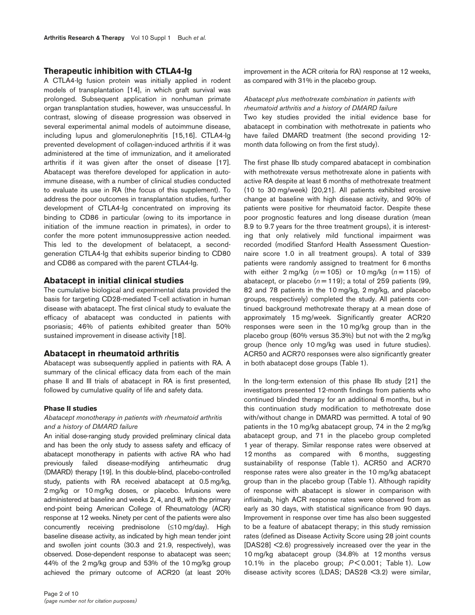## **Therapeutic inhibition with CTLA4-Ig**

A CTLA4-Ig fusion protein was initially applied in rodent models of transplantation [14], in which graft survival was prolonged. Subsequent application in nonhuman primate organ transplantation studies, however, was unsuccessful. In contrast, slowing of disease progression was observed in several experimental animal models of autoimmune disease, including lupus and glomerulonephritis [15,16]. CTLA4-Ig prevented development of collagen-induced arthritis if it was administered at the time of immunization, and it ameliorated arthritis if it was given after the onset of disease [17]. Abatacept was therefore developed for application in autoimmune disease, with a number of clinical studies conducted to evaluate its use in RA (the focus of this supplement). To address the poor outcomes in transplantation studies, further development of CTLA4-Ig concentrated on improving its binding to CD86 in particular (owing to its importance in initiation of the immune reaction in primates), in order to confer the more potent immunosuppressive action needed. This led to the development of belatacept, a secondgeneration CTLA4-Ig that exhibits superior binding to CD80 and CD86 as compared with the parent CTLA4-Ig.

#### **Abatacept in initial clinical studies**

The cumulative biological and experimental data provided the basis for targeting CD28-mediated T-cell activation in human disease with abatacept. The first clinical study to evaluate the efficacy of abatacept was conducted in patients with psoriasis; 46% of patients exhibited greater than 50% sustained improvement in disease activity [18].

## **Abatacept in rheumatoid arthritis**

Abatacept was subsequently applied in patients with RA. A summary of the clinical efficacy data from each of the main phase II and III trials of abatacept in RA is first presented, followed by cumulative quality of life and safety data.

#### **Phase II studies**

## *Abatacept monotherapy in patients with rheumatoid arthritis and a history of DMARD failure*

An initial dose-ranging study provided preliminary clinical data and has been the only study to assess safety and efficacy of abatacept monotherapy in patients with active RA who had previously failed disease-modifying antirheumatic drug (DMARD) therapy [19]. In this double-blind, placebo-controlled study, patients with RA received abatacept at 0.5 mg/kg, 2 mg/kg or 10 mg/kg doses, or placebo. Infusions were administered at baseline and weeks 2, 4, and 8, with the primary end-point being American College of Rheumatology (ACR) response at 12 weeks. Ninety per cent of the patients were also concurrently receiving prednisolone (≤10 mg/day). High baseline disease activity, as indicated by high mean tender joint and swollen joint counts (30.3 and 21.9, respectively), was observed. Dose-dependent response to abatacept was seen; 44% of the 2 mg/kg group and 53% of the 10 mg/kg group achieved the primary outcome of ACR20 (at least 20%

improvement in the ACR criteria for RA) response at 12 weeks, as compared with 31% in the placebo group.

## *Abatacept plus methotrexate combination in patients with rheumatoid arthritis and a history of DMARD failure*

Two key studies provided the initial evidence base for abatacept in combination with methotrexate in patients who have failed DMARD treatment (the second providing 12 month data following on from the first study).

The first phase IIb study compared abatacept in combination with methotrexate versus methotrexate alone in patients with active RA despite at least 6 months of methotrexate treatment (10 to 30 mg/week) [20,21]. All patients exhibited erosive change at baseline with high disease activity, and 90% of patients were positive for rheumatoid factor. Despite these poor prognostic features and long disease duration (mean 8.9 to 9.7 years for the three treatment groups), it is interesting that only relatively mild functional impairment was recorded (modified Stanford Health Assessment Questionnaire score 1.0 in all treatment groups). A total of 339 patients were randomly assigned to treatment for 6 months with either  $2 \text{ mg/kg}$  ( $n = 105$ ) or  $10 \text{ mg/kg}$  ( $n = 115$ ) of abatacept, or placebo  $(n=119)$ ; a total of 259 patients (99, 82 and 78 patients in the 10 mg/kg, 2 mg/kg, and placebo groups, respectively) completed the study. All patients continued background methotrexate therapy at a mean dose of approximately 15 mg/week. Significantly greater ACR20 responses were seen in the 10 mg/kg group than in the placebo group (60% versus 35.3%) but not with the 2 mg/kg group (hence only 10 mg/kg was used in future studies). ACR50 and ACR70 responses were also significantly greater in both abatacept dose groups (Table 1).

In the long-term extension of this phase IIb study [21] the investigators presented 12-month findings from patients who continued blinded therapy for an additional 6 months, but in this continuation study modification to methotrexate dose with/without change in DMARD was permitted. A total of 90 patients in the 10 mg/kg abatacept group, 74 in the 2 mg/kg abatacept group, and 71 in the placebo group completed 1 year of therapy. Similar response rates were observed at 12 months as compared with 6 months, suggesting sustainability of response (Table 1). ACR50 and ACR70 response rates were also greater in the 10 mg/kg abatacept group than in the placebo group (Table 1). Although rapidity of response with abatacept is slower in comparison with infliximab, high ACR response rates were observed from as early as 30 days, with statistical significance from 90 days. Improvement in response over time has also been suggested to be a feature of abatacept therapy; in this study remission rates (defined as Disease Activity Score using 28 joint counts [DAS28] <2.6) progressively increased over the year in the 10 mg/kg abatacept group (34.8% at 12 months versus 10.1% in the placebo group; *P* < 0.001; Table 1). Low disease activity scores (LDAS; DAS28 <3.2) were similar,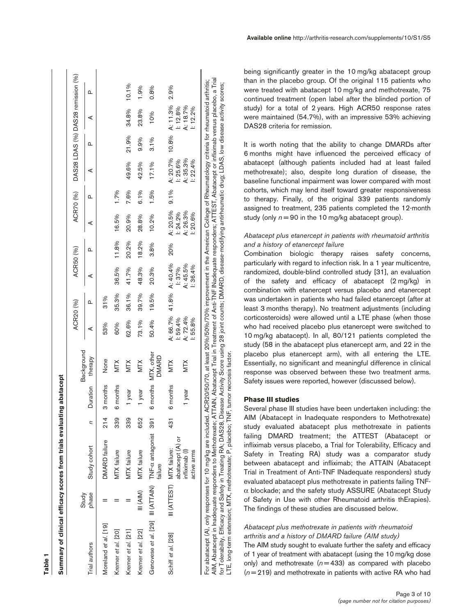|                                                        | Study     |                                               |     |          | Background                 | ACR20 (%)           |       | ACR50 (%)               |       |                      | ACR70 (%) |                      |       | DAS28 LDAS (%) DAS28 remission (%) |       |  |
|--------------------------------------------------------|-----------|-----------------------------------------------|-----|----------|----------------------------|---------------------|-------|-------------------------|-------|----------------------|-----------|----------------------|-------|------------------------------------|-------|--|
| rial authors                                           | phase     | Study cohort                                  | ς   | Duration | therapy                    | ⋖                   | ≏     | ⋖                       | Δ     | ⋖                    | ≏         | ⋖                    | ≏     | ⋖                                  | ൨     |  |
| Vloreland et al. [19]                                  |           | DMARD failure                                 | 214 | 3 months | None                       | 53%                 | 31%   |                         |       |                      |           |                      |       |                                    |       |  |
| Kremer et al. [20]                                     |           | <b>MTX</b> failure                            | 339 | 6 months | <b>MTX</b>                 | 60%                 | 35.3% | 36.5%                   | 11.8% | 16.5%                | 1.7%      |                      |       |                                    |       |  |
| Kremer et al. [21]                                     |           | MTX failure                                   | 339 | 1 year   | NIX                        | 62.6%               | 36.1% | 41.7%                   | 20.2% | 20.9%                | 7.6%      | 49.6%                | 21.9% | 34.8%                              | 10.1% |  |
| Kremer et al. [22]                                     | III (AIM) | MTX failure                                   | 652 | 1 year   | <b>MTX</b>                 | 73.1%               | 39.7% | 48.3%                   | 18.2% | 28.8%                | 6.1%      | 42.5%                | 9.9%  | 23.8%                              | 1.9%  |  |
| Genovese et al. [29] III (ATTAIN) TNF-c antagonist 391 |           | failure                                       |     | 6 months | MTX, other<br><b>DMARD</b> | 50.4%               | 19.5% | 20.3%                   | 3.8%  | 10.2%                | 1.5%      | 17.1%                | 3.1%  | 10%                                | 0.8%  |  |
| Schiff et al. [28]                                     |           | abatacept (A) or<br>III (ATTEST) MTX failure: | 431 | 6 months | <b>MTX</b>                 | A: 66.7%<br>1:59.4% |       | 41.8% A: 40.4%<br>1:37% | 20%   | A: 20.5%<br>1: 24.2% | 9.1%      | A: 20.7%<br>1: 25.6% |       | 10.8% A: 11.3%<br>1:12.8%          | 2.9%  |  |
|                                                        |           | infliximab (I)<br>active arms                 |     | 1 year   | <b>MTX</b>                 | A: 72.4%<br>1:55.8% |       | A: 45.5%<br>1:36.4%     |       | A: 26.3%<br>1:20.6%  |           | A: 35.3%<br>1: 22.4% |       | A: 18.7%<br>1:12.2%                |       |  |

**Table 1**

AIM, Abatacept in Inadequate responders to Methotrexate; ATTAIN, Abatacept Trial in Treatment of Anti-TNF INadequate responders; ATTEST, Abatacept or infliximab versus placebo, a Trial AIM, Abatacept in Inadequate responders to Methotrexate; ATTAIN, Abatacept Trial in Treatment of Anti-TNF INadequate responders; ATTEST, Abatacept or infliximab versus placebo, a Trial for Tolerability, Efficacy and Safety in Treating RA; DAS28, Disease Activity Score using 28 joint counts; DMARD, disease-modifying antinheumatic drug; LDAS, low disease activity scores;<br>LTE, long-term extension; MTX, meth for Tolerability, Efficacy and Safety in Treating RA; DAS28, Disease Activity Score using 28 joint counts; DMARD, disease-modifying antirheumatic drug; LDAS, low disease activity scores; LTE, long-term extension; MTX, methotrexate; P, placebo; TNF, tumor necrosis factor.

being significantly greater in the 10 mg/kg abatacept group than in the placebo group. Of the original 115 patients who were treated with abatacept 10 mg/kg and methotrexate, 75 continued treatment (open label after the blinded portion of study) for a total of 2 years. High ACR50 response rates were maintained (54.7%), with an impressive 53% achieving DAS28 criteria for remission.

It is worth noting that the ability to change DMARDs after 6 months might have influenced the perceived efficacy of abatacept (although patients included had at least failed methotrexate); also, despite long duration of disease, the baseline functional impairment was lower compared with most cohorts, which may lend itself toward greater responsiveness to therapy. Finally, of the original 339 patients randomly assigned to treatment, 235 patients completed the 12-month study (only *n* = 90 in the 10 mg/kg abatacept group).

## *Abatacept plus etanercept in patients with rheumatoid arthritis and a history of etanercept failure*

Combination biologic therapy raises safety concerns, particularly with regard to infection risk. In a 1 year multicentre, randomized, double-blind controlled study [31], an evaluation of the safety and efficacy of abatacept (2 mg/kg) in combination with etanercept versus placebo and etanercept was undertaken in patients who had failed etanercept (after at least 3 months therapy). No treatment adjustments (including corticosteroids) were allowed until a LTE phase (when those who had received placebo plus etanercept were switched to 10 mg/kg abatacept). In all, 80/121 patients completed the study (58 in the abatacept plus etanercept arm, and 22 in the placebo plus etanercept arm), with all entering the LTE. Essentially, no significant and meaningful difference in clinical response was observed between these two treatment arms. Safety issues were reported, however (discussed below).

#### **Phase III studies**

Several phase III studies have been undertaken including: the AIM (Abatacept in Inadequate responders to Methotrexate) study evaluated abatacept plus methotrexate in patients failing DMARD treatment; the ATTEST (Abatacept or infliximab versus placebo, a Trial for Tolerability, Efficacy and Safety in Treating RA) study was a comparator study between abatacept and infliximab; the ATTAIN (Abatacept Trial in Treatment of Anti-TNF INadequate responders) study evaluated abatacept plus methotrexate in patients failing TNF α blockade; and the safety study ASSURE (Abatacept Study of Safety in Use with other Rheumatoid arthritis thErapies). The findings of these studies are discussed below.

# *Abatacept plus methotrexate in patients with rheumatoid arthritis and a history of DMARD failure (AIM study)*

The AIM study sought to evaluate further the safety and efficacy of 1 year of treatment with abatacept (using the 10 mg/kg dose only) and methotrexate  $(n=433)$  as compared with placebo ( *n* = 219) and methotrexate in patients with active RA who had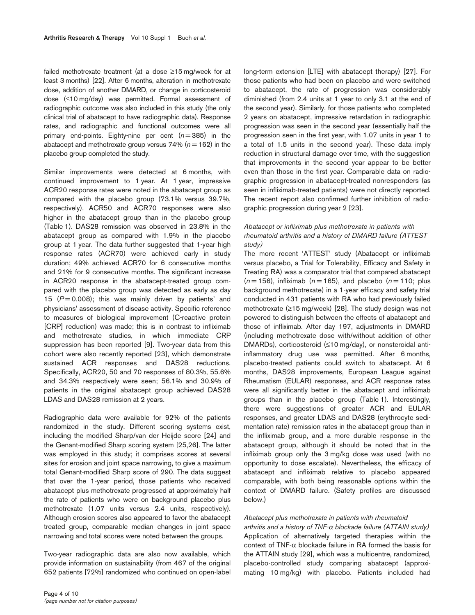failed methotrexate treatment (at a dose ≥15 mg/week for at least 3 months) [22]. After 6 months, alteration in methotrexate dose, addition of another DMARD, or change in corticosteroid dose (≤10 mg/day) was permitted. Formal assessment of radiographic outcome was also included in this study (the only clinical trial of abatacept to have radiographic data). Response rates, and radiographic and functional outcomes were all primary end-points. Eighty-nine per cent  $(n=385)$  in the abatacept and methotrexate group versus  $74\%$  ( $n = 162$ ) in the placebo group completed the study.

Similar improvements were detected at 6 months, with continued improvement to 1 year. At 1 year, impressive ACR20 response rates were noted in the abatacept group as compared with the placebo group (73.1% versus 39.7%, respectively). ACR50 and ACR70 responses were also higher in the abatacept group than in the placebo group (Table 1). DAS28 remission was observed in 23.8% in the abatacept group as compared with 1.9% in the placebo group at 1 year. The data further suggested that 1-year high response rates (ACR70) were achieved early in study duration; 49% achieved ACR70 for 6 consecutive months and 21% for 9 consecutive months. The significant increase in ACR20 response in the abatacept-treated group compared with the placebo group was detected as early as day 15  $(P = 0.008)$ ; this was mainly driven by patients' and physicians' assessment of disease activity. Specific reference to measures of biological improvement (C-reactive protein [CRP] reduction) was made; this is in contrast to infliximab and methotrexate studies, in which immediate CRP suppression has been reported [9]. Two-year data from this cohort were also recently reported [23], which demonstrate sustained ACR responses and DAS28 reductions. Specifically, ACR20, 50 and 70 responses of 80.3%, 55.6% and 34.3% respectively were seen; 56.1% and 30.9% of patients in the original abatacept group achieved DAS28 LDAS and DAS28 remission at 2 years.

Radiographic data were available for 92% of the patients randomized in the study. Different scoring systems exist, including the modified Sharp/van der Heijde score [24] and the Genant-modified Sharp scoring system [25,26]. The latter was employed in this study; it comprises scores at several sites for erosion and joint space narrowing, to give a maximum total Genant-modified Sharp score of 290. The data suggest that over the 1-year period, those patients who received abatacept plus methotrexate progressed at approximately half the rate of patients who were on background placebo plus methotrexate (1.07 units versus 2.4 units, respectively). Although erosion scores also appeared to favor the abatacept treated group, comparable median changes in joint space narrowing and total scores were noted between the groups.

Two-year radiographic data are also now available, which provide information on sustainability (from 467 of the original 652 patients [72%] randomized who continued on open-label

long-term extension [LTE] with abatacept therapy) [27]. For those patients who had been on placebo and were switched to abatacept, the rate of progression was considerably diminished (from 2.4 units at 1 year to only 3.1 at the end of the second year). Similarly, for those patients who completed 2 years on abatacept, impressive retardation in radiographic progression was seen in the second year (essentially half the progression seen in the first year, with 1.07 units in year 1 to a total of 1.5 units in the second year). These data imply reduction in structural damage over time, with the suggestion that improvements in the second year appear to be better even than those in the first year. Comparable data on radiographic progression in abatacept-treated nonresponders (as seen in infliximab-treated patients) were not directly reported. The recent report also confirmed further inhibition of radiographic progression during year 2 [23].

## *Abatacept or infliximab plus methotrexate in patients with rheumatoid arthritis and a history of DMARD failure (ATTEST study)*

The more recent 'ATTEST' study (Abatacept or infliximab versus placebo, a Trial for Tolerability, Efficacy and Safety in Treating RA) was a comparator trial that compared abatacept  $(n=156)$ , infliximab  $(n=165)$ , and placebo  $(n=110)$ ; plus background methotrexate) in a 1-year efficacy and safety trial conducted in 431 patients with RA who had previously failed methotrexate (≥15 mg/week) [28]. The study design was not powered to distinguish between the effects of abatacept and those of infliximab. After day 197, adjustments in DMARD (including methotrexate dose with/without addition of other DMARDs), corticosteroid (≤10 mg/day), or nonsteroidal antiinflammatory drug use was permitted. After 6 months, placebo-treated patients could switch to abatacept. At 6 months, DAS28 improvements, European League against Rheumatism (EULAR) responses, and ACR response rates were all significantly better in the abatacept and infliximab groups than in the placebo group (Table 1). Interestingly, there were suggestions of greater ACR and EULAR responses, and greater LDAS and DAS28 (erythrocyte sedimentation rate) remission rates in the abatacept group than in the infliximab group, and a more durable response in the abatacept group, although it should be noted that in the infliximab group only the 3 mg/kg dose was used (with no opportunity to dose escalate). Nevertheless, the efficacy of abatacept and infliximab relative to placebo appeared comparable, with both being reasonable options within the context of DMARD failure. (Safety profiles are discussed below.)

#### *Abatacept plus methotrexate in patients with rheumatoid*

*arthritis and a history of TNF-*<sup>α</sup> *blockade failure (ATTAIN study)* Application of alternatively targeted therapies within the context of TNF-α blockade failure in RA formed the basis for the ATTAIN study [29], which was a multicentre, randomized, placebo-controlled study comparing abatacept (approximating 10 mg/kg) with placebo. Patients included had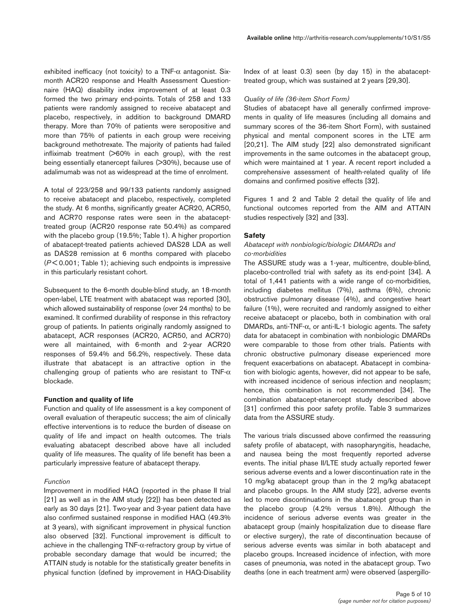exhibited inefficacy (not toxicity) to a TNF-α antagonist. Sixmonth ACR20 response and Health Assessment Questionnaire (HAQ) disability index improvement of at least 0.3 formed the two primary end-points. Totals of 258 and 133 patients were randomly assigned to receive abatacept and placebo, respectively, in addition to background DMARD therapy. More than 70% of patients were seropositive and more than 75% of patients in each group were receiving background methotrexate. The majority of patients had failed infliximab treatment (>60% in each group), with the rest being essentially etanercept failures (>30%), because use of adalimumab was not as widespread at the time of enrolment.

A total of 223/258 and 99/133 patients randomly assigned to receive abatacept and placebo, respectively, completed the study. At 6 months, significantly greater ACR20, ACR50, and ACR70 response rates were seen in the abatacepttreated group (ACR20 response rate 50.4%) as compared with the placebo group (19.5%; Table 1). A higher proportion of abatacept-treated patients achieved DAS28 LDA as well as DAS28 remission at 6 months compared with placebo (*P* < 0.001; Table 1); achieving such endpoints is impressive in this particularly resistant cohort.

Subsequent to the 6-month double-blind study, an 18-month open-label, LTE treatment with abatacept was reported [30], which allowed sustainability of response (over 24 months) to be examined. It confirmed durability of response in this refractory group of patients. In patients originally randomly assigned to abatacept, ACR responses (ACR20, ACR50, and ACR70) were all maintained, with 6-month and 2-year ACR20 responses of 59.4% and 56.2%, respectively. These data illustrate that abatacept is an attractive option in the challenging group of patients who are resistant to TNF- $\alpha$ blockade.

## **Function and quality of life**

Function and quality of life assessment is a key component of overall evaluation of therapeutic success; the aim of clinically effective interventions is to reduce the burden of disease on quality of life and impact on health outcomes. The trials evaluating abatacept described above have all included quality of life measures. The quality of life benefit has been a particularly impressive feature of abatacept therapy.

#### *Function*

Improvement in modified HAQ (reported in the phase II trial [21] as well as in the AIM study [22]) has been detected as early as 30 days [21]. Two-year and 3-year patient data have also confirmed sustained response in modified HAQ (49.3% at 3 years), with significant improvement in physical function also observed [32]. Functional improvement is difficult to achieve in the challenging TNF-α-refractory group by virtue of probable secondary damage that would be incurred; the ATTAIN study is notable for the statistically greater benefits in physical function (defined by improvement in HAQ-Disability

Index of at least 0.3) seen (by day 15) in the abatacepttreated group, which was sustained at 2 years [29,30].

## *Quality of life (36-item Short Form)*

Studies of abatacept have all generally confirmed improvements in quality of life measures (including all domains and summary scores of the 36-item Short Form), with sustained physical and mental component scores in the LTE arm [20,21]. The AIM study [22] also demonstrated significant improvements in the same outcomes in the abatacept group, which were maintained at 1 year. A recent report included a comprehensive assessment of health-related quality of life domains and confirmed positive effects [32].

Figures 1 and 2 and Table 2 detail the quality of life and functional outcomes reported from the AIM and ATTAIN studies respectively [32] and [33].

## **Safety**

#### *Abatacept with nonbiologic/biologic DMARDs and co-morbidities*

The ASSURE study was a 1-year, multicentre, double-blind, placebo-controlled trial with safety as its end-point [34]. A total of 1,441 patients with a wide range of co-morbidities, including diabetes mellitus (7%), asthma (6%), chronic obstructive pulmonary disease (4%), and congestive heart failure (1%), were recruited and randomly assigned to either receive abatacept or placebo, both in combination with oral DMARDs, anti-TNF- $\alpha$ , or anti-IL-1 biologic agents. The safety data for abatacept in combination with nonbiologic DMARDs were comparable to those from other trials. Patients with chronic obstructive pulmonary disease experienced more frequent exacerbations on abatacept. Abatacept in combination with biologic agents, however, did not appear to be safe, with increased incidence of serious infection and neoplasm; hence, this combination is not recommended [34]. The combination abatacept-etanercept study described above [31] confirmed this poor safety profile. Table 3 summarizes data from the ASSURE study.

The various trials discussed above confirmed the reassuring safety profile of abatacept, with nasopharyngitis, headache, and nausea being the most frequently reported adverse events. The initial phase II/LTE study actually reported fewer serious adverse events and a lower discontinuation rate in the 10 mg/kg abatacept group than in the 2 mg/kg abatacept and placebo groups. In the AIM study [22], adverse events led to more discontinuations in the abatacept group than in the placebo group (4.2% versus 1.8%). Although the incidence of serious adverse events was greater in the abatacept group (mainly hospitalization due to disease flare or elective surgery), the rate of discontinuation because of serious adverse events was similar in both abatacept and placebo groups. Increased incidence of infection, with more cases of pneumonia, was noted in the abatacept group. Two deaths (one in each treatment arm) were observed (aspergillo-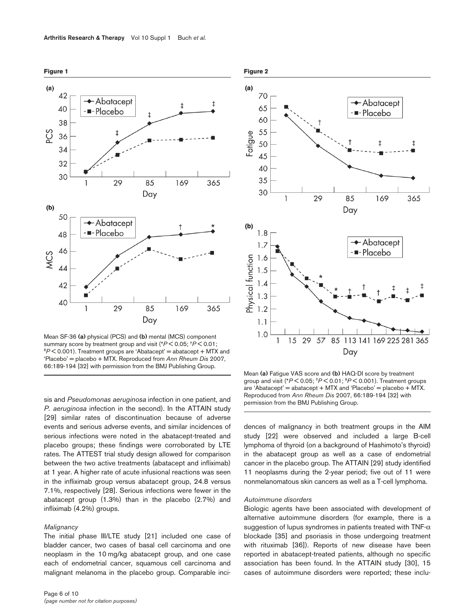

Mean SF-36 **(a)** physical (PCS) and **(b)** mental (MCS) component  $P^*P$  < 0.001). Treatment groups are 'Abatacept' = abatacept + MTX and 'Placebo' = placebo + MTX. Reproduced from *Ann Rheum Dis* 2007, 66:189-194 [32] with permission from the BMJ Publishing Group.

sis and *Pseudomonas aeruginosa* infection in one patient, and *P. aeruginosa* infection in the second). In the ATTAIN study [29] similar rates of discontinuation because of adverse events and serious adverse events, and similar incidences of serious infections were noted in the abatacept-treated and placebo groups; these findings were corroborated by LTE rates. The ATTEST trial study design allowed for comparison between the two active treatments (abatacept and infliximab) at 1 year. A higher rate of acute infusional reactions was seen in the infliximab group versus abatacept group, 24.8 versus 7.1%, respectively [28]. Serious infections were fewer in the abatacept group (1.3%) than in the placebo (2.7%) and infliximab (4.2%) groups.

### *Malignancy*

The initial phase III/LTE study [21] included one case of bladder cancer, two cases of basal cell carcinoma and one neoplasm in the 10 mg/kg abatacept group, and one case each of endometrial cancer, squamous cell carcinoma and malignant melanoma in the placebo group. Comparable inci-



Mean **(a)** Fatigue VAS score and **(b)** HAQ-DI score by treatment group and visit (\**P* < 0.05; †*P* < 0.01; ‡*P* < 0.001). Treatment groups are 'Abatacept' = abatacept + MTX and 'Placebo' = placebo + MTX. Reproduced from *Ann Rheum Dis* 2007, 66:189-194 [32] with permission from the BMJ Publishing Group.

dences of malignancy in both treatment groups in the AIM study [22] were observed and included a large B-cell lymphoma of thyroid (on a background of Hashimoto's thyroid) in the abatacept group as well as a case of endometrial cancer in the placebo group. The ATTAIN [29] study identified 11 neoplasms during the 2-year period; five out of 11 were nonmelanomatous skin cancers as well as a T-cell lymphoma.

#### *Autoimmune disorders*

Biologic agents have been associated with development of alternative autoimmune disorders (for example, there is a suggestion of lupus syndromes in patients treated with TNF- $\alpha$ blockade [35] and psoriasis in those undergoing treatment with rituximab [36]). Reports of new disease have been reported in abatacept-treated patients, although no specific association has been found. In the ATTAIN study [30], 15 cases of autoimmune disorders were reported; these inclu-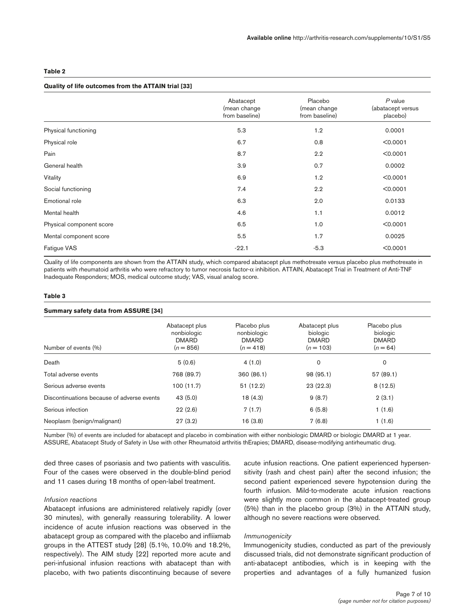#### **Table 2**

### **Quality of life outcomes from the ATTAIN trial [33]**

|                          | Abatacept<br>(mean change<br>from baseline) | Placebo<br>(mean change<br>from baseline) | $P$ value<br>(abatacept versus<br>placebo) |
|--------------------------|---------------------------------------------|-------------------------------------------|--------------------------------------------|
| Physical functioning     | 5.3                                         | 1.2                                       | 0.0001                                     |
| Physical role            | 6.7                                         | 0.8                                       | < 0.0001                                   |
| Pain                     | 8.7                                         | 2.2                                       | < 0.0001                                   |
| General health           | 3.9                                         | 0.7                                       | 0.0002                                     |
| Vitality                 | 6.9                                         | 1.2                                       | < 0.0001                                   |
| Social functioning       | 7.4                                         | 2.2                                       | < 0.0001                                   |
| Emotional role           | 6.3                                         | 2.0                                       | 0.0133                                     |
| Mental health            | 4.6                                         | 1.1                                       | 0.0012                                     |
| Physical component score | 6.5                                         | 1.0                                       | < 0.0001                                   |
| Mental component score   | 5.5                                         | 1.7                                       | 0.0025                                     |
| Fatigue VAS              | $-22.1$                                     | $-5.3$                                    | < 0.0001                                   |

Quality of life components are shown from the ATTAIN study, which compared abatacept plus methotrexate versus placebo plus methotrexate in patients with rheumatoid arthritis who were refractory to tumor necrosis factor-α inhibition. ATTAIN, Abatacept Trial in Treatment of Anti-TNF Inadequate Responders; MOS, medical outcome study; VAS, visual analog score.

#### **Table 3**

#### **Summary safety data from ASSURE [34]**

| Number of events (%)                       | Abatacept plus<br>nonbiologic<br><b>DMARD</b><br>$(n = 856)$ | Placebo plus<br>nonbiologic<br><b>DMARD</b><br>$(n = 418)$ | Abatacept plus<br>biologic<br><b>DMARD</b><br>$(n = 103)$ | Placebo plus<br>biologic<br><b>DMARD</b><br>$(n = 64)$ |
|--------------------------------------------|--------------------------------------------------------------|------------------------------------------------------------|-----------------------------------------------------------|--------------------------------------------------------|
| Death                                      | 5(0.6)                                                       | 4(1.0)                                                     | 0                                                         | 0                                                      |
| Total adverse events                       | 768 (89.7)                                                   | 360 (86.1)                                                 | 98 (95.1)                                                 | 57(89.1)                                               |
| Serious adverse events                     | 100(11.7)                                                    | 51(12.2)                                                   | 23(22.3)                                                  | 8(12.5)                                                |
| Discontinuations because of adverse events | 43(5.0)                                                      | 18(4.3)                                                    | 9(8.7)                                                    | 2(3.1)                                                 |
| Serious infection                          | 22(2.6)                                                      | 7(1.7)                                                     | 6(5.8)                                                    | 1(1.6)                                                 |
| Neoplasm (benign/malignant)                | 27(3.2)                                                      | 16(3.8)                                                    | 7(6.8)                                                    | 1(1.6)                                                 |

Number (%) of events are included for abatacept and placebo in combination with either nonbiologic DMARD or biologic DMARD at 1 year. ASSURE, Abatacept Study of Safety in Use with other Rheumatoid arthritis thErapies; DMARD, disease-modifying antirheumatic drug.

ded three cases of psoriasis and two patients with vasculitis. Four of the cases were observed in the double-blind period and 11 cases during 18 months of open-label treatment.

#### *Infusion reactions*

Abatacept infusions are administered relatively rapidly (over 30 minutes), with generally reassuring tolerability. A lower incidence of acute infusion reactions was observed in the abatacept group as compared with the placebo and infliixmab groups in the ATTEST study [28] (5.1%, 10.0% and 18.2%, respectively). The AIM study [22] reported more acute and peri-infusional infusion reactions with abatacept than with placebo, with two patients discontinuing because of severe

acute infusion reactions. One patient experienced hypersensitivity (rash and chest pain) after the second infusion; the second patient experienced severe hypotension during the fourth infusion. Mild-to-moderate acute infusion reactions were slightly more common in the abatacept-treated group (5%) than in the placebo group (3%) in the ATTAIN study, although no severe reactions were observed.

#### *Immunogenicity*

Immunogenicity studies, conducted as part of the previously discussed trials, did not demonstrate significant production of anti-abatacept antibodies, which is in keeping with the properties and advantages of a fully humanized fusion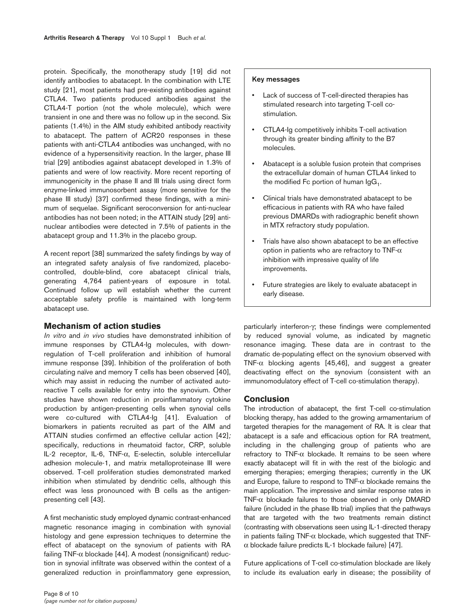protein. Specifically, the monotherapy study [19] did not identify antibodies to abatacept. In the combination with LTE study [21], most patients had pre-existing antibodies against CTLA4. Two patients produced antibodies against the CTLA4-T portion (not the whole molecule), which were transient in one and there was no follow up in the second. Six patients (1.4%) in the AIM study exhibited antibody reactivity to abatacept. The pattern of ACR20 responses in these patients with anti-CTLA4 antibodies was unchanged, with no evidence of a hypersensitivity reaction. In the larger, phase III trial [29] antibodies against abatacept developed in 1.3% of patients and were of low reactivity. More recent reporting of immunogenicity in the phase II and III trials using direct form enzyme-linked immunosorbent assay (more sensitive for the phase III study) [37] confirmed these findings, with a minimum of sequelae. Significant seroconversion for anti-nuclear antibodies has not been noted; in the ATTAIN study [29] antinuclear antibodies were detected in 7.5% of patients in the abatacept group and 11.3% in the placebo group.

A recent report [38] summarized the safety findings by way of an integrated safety analysis of five randomized, placebocontrolled, double-blind, core abatacept clinical trials, generating 4,764 patient-years of exposure in total. Continued follow up will establish whether the current acceptable safety profile is maintained with long-term abatacept use.

# **Mechanism of action studies**

*In vitro* and *in vivo* studies have demonstrated inhibition of immune responses by CTLA4-Ig molecules, with downregulation of T-cell proliferation and inhibition of humoral immune response [39]. Inhibition of the proliferation of both circulating naïve and memory T cells has been observed [40], which may assist in reducing the number of activated autoreactive T cells available for entry into the synovium. Other studies have shown reduction in proinflammatory cytokine production by antigen-presenting cells when synovial cells were co-cultured with CTLA4-Ig [41]. Evaluation of biomarkers in patients recruited as part of the AIM and ATTAIN studies confirmed an effective cellular action [42]*;* specifically, reductions in rheumatoid factor, CRP, soluble IL-2 receptor, IL-6, TNF-α, E-selectin, soluble intercellular adhesion molecule-1, and matrix metalloproteinase III were observed. T-cell proliferation studies demonstrated marked inhibition when stimulated by dendritic cells, although this effect was less pronounced with B cells as the antigenpresenting cell [43].

A first mechanistic study employed dynamic contrast-enhanced magnetic resonance imaging in combination with synovial histology and gene expression techniques to determine the effect of abatacept on the synovium of patients with RA failing TNF- $\alpha$  blockade [44]. A modest (nonsignificant) reduction in synovial infiltrate was observed within the context of a generalized reduction in proinflammatory gene expression,

- Lack of success of T-cell-directed therapies has stimulated research into targeting T-cell costimulation.
- CTLA4-Ig competitively inhibits T-cell activation through its greater binding affinity to the B7 molecules.
- Abatacept is a soluble fusion protein that comprises the extracellular domain of human CTLA4 linked to the modified Fc portion of human  $\lg G_1$ .
- Clinical trials have demonstrated abatacept to be efficacious in patients with RA who have failed previous DMARDs with radiographic benefit shown in MTX refractory study population.
- Trials have also shown abatacept to be an effective option in patients who are refractory to TNF- $\alpha$ inhibition with impressive quality of life improvements.
- Future strategies are likely to evaluate abatacept in early disease.

particularly interferon-γ; these findings were complemented by reduced synovial volume, as indicated by magnetic resonance imaging. These data are in contrast to the dramatic de-populating effect on the synovium observed with TNF- $\alpha$  blocking agents [45,46], and suggest a greater deactivating effect on the synovium (consistent with an immunomodulatory effect of T-cell co-stimulation therapy).

## **Conclusion**

The introduction of abatacept, the first T-cell co-stimulation blocking therapy, has added to the growing armamentarium of targeted therapies for the management of RA. It is clear that abatacept is a safe and efficacious option for RA treatment, including in the challenging group of patients who are refractory to TNF-α blockade. It remains to be seen where exactly abatacept will fit in with the rest of the biologic and emerging therapies; emerging therapies; currently in the UK and Europe, failure to respond to TNF- $\alpha$  blockade remains the main application. The impressive and similar response rates in TNF-α blockade failures to those observed in only DMARD failure (included in the phase IIb trial) implies that the pathways that are targeted with the two treatments remain distinct (contrasting with observations seen using IL-1-directed therapy in patients failing  $TNF-\alpha$  blockade, which suggested that  $TNF$ α blockade failure predicts IL-1 blockade failure) [47].

Future applications of T-cell co-stimulation blockade are likely to include its evaluation early in disease; the possibility of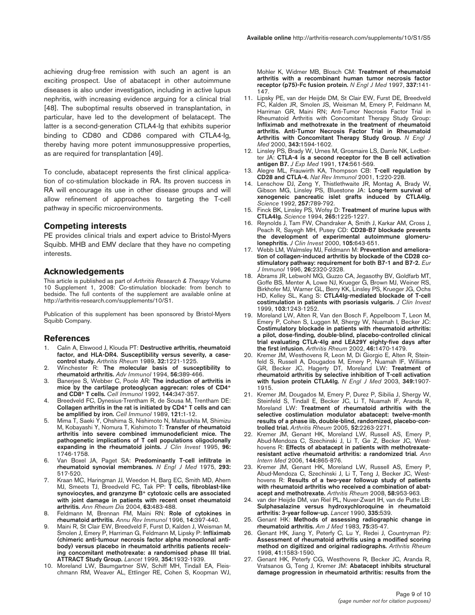achieving drug-free remission with such an agent is an exciting prospect. Use of abatacept in other autoimmune diseases is also under investigation, including in active lupus nephritis, with increasing evidence arguing for a clinical trial [48]. The suboptimal results observed in transplantation, in particular, have led to the development of belatacept. The latter is a second-generation CTLA4-Ig that exhibits superior binding to CD80 and CD86 compared with CTLA4-Ig, thereby having more potent immunosuppressive properties, as are required for transplantation [49].

To conclude, abatacept represents the first clinical application of co-stimulation blockade in RA. Its proven success in RA will encourage its use in other disease groups and will allow refinement of approaches to targeting the T-cell pathway in specific microenvironments.

## **Competing interests**

PE provides clinical trials and expert advice to Bristol-Myers Squibb. MHB and EMV declare that they have no competing interests.

## **Acknowledgements**

This article is published as part of *Arthritis Research & Therapy* Volume 10 Supplement 1, 2008: Co-stimulation blockade: from bench to bedside. The full contents of the supplement are available online at http://arthritis-research.com/supplements/10/S1.

Publication of this supplement has been sponsored by Bristol-Myers Squibb Company.

# **References**

- 1. Calin A, Elswood J, Klouda PT: **Destructive arthritis, rheumatoid factor, and HLA-DR4. Susceptibility versus severity, a casecontrol study.** *Arthritis Rheum* 1989, **32:**1221-1225.
- 2. Winchester R: **The molecular basis of susceptibility to rheumatoid arthritis.** *Adv Immunol* 1994, **56:**389-466.
- 3. Banerjee S, Webber C, Poole AR: **The induction of arthritis in mice by the cartilage proteoglycan aggrecan: roles of CD4+ and CD8+ T cells.** *Cell Immunol* 1992, **144:**347-357.
- Breedveld FC, Dynesius-Trentham R, de Sousa M, Trentham DE: **Collagen arthritis in the rat is initiated by CD4+ T cells and can be amplified by iron.** *Cell Immunol* 1989, **121:**1-12.
- 5. Mima T, Saeki Y, Ohshima S, Nishimoto N, Matsushita M, Shimizu M, Kobayashi Y, Nomura T, Kishimoto T: **Transfer of rheumatoid arthritis into severe combined immunodeficient mice. The pathogenetic implications of T cell populations oligoclonally expanding in the rheumatoid joints.** *J Clin Invest* 1995, **96:** 1746-1758.
- 6. Van Boxel JA, Paget SA: **Predominantly T-cell infiltrate in rheumatoid synovial membranes.** *N Engl J Med* 1975, **293:** 517-520.
- 7. Kraan MC, Haringman JJ, Weedon H, Barg EC, Smith MD, Ahern MJ, Smeets TJ, Breedveld FC, Tak PP: **T cells, fibroblast-like synoviocytes, and granzyme B+ cytotoxic cells are associated with joint damage in patients with recent onset rheumatoid arthritis.** *Ann Rheum Dis* 2004, **63:**483-488.
- 8. Feldmann M, Brennan FM, Maini RN: **Role of cytokines in rheumatoid arthritis.** *Annu Rev Immunol* 1996, **14:**397-440.
- 9. Maini R, St Clair EW, Breedveld F, Furst D, Kalden J, Weisman M, Smolen J, Emery P, Harriman G, Feldmann M, Lipsky P: **Infliximab (chimeric anti-tumour necrosis factor alpha monoclonal antibody) versus placebo in rheumatoid arthritis patients receiving concomitant methotrexate: a randomised phase III trial. ATTRACT Study Group.** *Lancet* 1999, **354:**1932-1939.
- 10. Moreland LW, Baumgartner SW, Schiff MH, Tindall EA, Fleischmann RM, Weaver AL, Ettlinger RE, Cohen S, Koopman WJ,

Mohler K, Widmer MB, Blosch CM: **Treatment of rheumatoid arthritis with a recombinant human tumor necrosis factor receptor (p75)-Fc fusion protein.** *N Engl J Med* 1997, **337:**141- 147.

- 11. Lipsky PE, van der Heijde DM, St Clair EW, Furst DE, Breedveld FC, Kalden JR, Smolen JS, Weisman M, Emery P, Feldmann M, Harriman GR, Maini RN; Anti-Tumor Necrosis Factor Trial in Rheumatoid Arthritis with Concomitant Therapy Study Group: **Infliximab and methotrexate in the treatment of rheumatoid arthritis. Anti-Tumor Necrosis Factor Trial in Rheumatoid Arthritis with Concomitant Therapy Study Group.** *N Engl J Med* 2000, **343:**1594-1602.
- 12. Linsley PS, Brady W, Urnes M, Grosmaire LS, Damle NK, Ledbetter JA: **CTLA-4 is a second receptor for the B cell activation antigen B7.** *J Exp Med* 1991, **174:**561-569.
- 13. Alegre ML, Frauwirth KA, Thompson CB: **T-cell regulation by CD28 and CTLA-4.** *Nat Rev Immunol* 2001, **1:**220-228.
- 14. Lenschow DJ, Zeng Y, Thistlethwaite JR, Montag A, Brady W, Gibson MG, Linsley PS, Bluestone JA: **Long-term survival of xenogeneic pancreatic islet grafts induced by CTLA4lg.** *Science* 1992, **257:**789-792.
- 15. Finck BK, Linsley PS, Wofsy D: **Treatment of murine lupus with CTLA4Ig.** *Science* 1994, **265:**1225-1227.
- 16. Reynolds J, Tam FW, Chandraker A, Smith J, Karkar AM, Cross J, Peach R, Sayegh MH, Pusey CD: **CD28-B7 blockade prevents the development of experimental autoimmune glomerulonephritis.** *J Clin Invest* 2000, **105:**643-651.
- Webb LM, Walmsley MJ, Feldmann M: Prevention and ameliora**tion of collagen-induced arthritis by blockade of the CD28 costimulatory pathway: requirement for both B7-1 and B7-2.** *Eur J Immunol* 1996, **26:**2320-2328.
- 18. Abrams JR, Lebwohl MG, Guzzo CA, Jegasothy BV, Goldfarb MT, Goffe BS, Menter A, Lowe NJ, Krueger G, Brown MJ, Weiner RS, Birkhofer MJ, Warner GL, Berry KK, Linsley PS, Krueger JG, Ochs HD, Kelley SL, Kang S: **CTLA4Ig-mediated blockade of T-cell costimulation in patients with psoriasis vulgaris.** *J Clin Invest* 1999, **103:**1243-1252.
- 19. Moreland LW, Alten R, Van den Bosch F, Appelboom T, Leon M, Emery P, Cohen S, Luggen M, Shergy W, Nuamah I, Becker JC: **Costimulatory blockade in patients with rheumatoid arthritis: a pilot, dose-finding, double-blind, placebo-controlled clinical trial evaluating CTLA-4Ig and LEA29Y eighty-five days after the first infusion.** *Arthritis Rheum* 2002, **46:**1470-1479.
- 20. Kremer JM, Westhovens R, Leon M, Di Giorgio E, Alten R, Steinfeld S, Russell A, Dougados M, Emery P, Nuamah IF, Williams GR, Becker JC, Hagerty DT, Moreland LW: **Treatment of rheumatoid arthritis by selective inhibition of T-cell activation with fusion protein CTLA4Ig.** *N Engl J Med* 2003, **349:**1907- 1915.
- 21. Kremer JM, Dougados M, Emery P, Durez P, Sibilia J, Shergy W, Steinfeld S, Tindall E, Becker JC, Li T, Nuamah IF, Aranda R, Moreland LW: **Treatment of rheumatoid arthritis with the selective costimulation modulator abatacept: twelve-month results of a phase iib, double-blind, randomized, placebo-controlled trial.** *Arthritis Rheum* 2005, **52:**2263-2271.
- 22. Kremer JM, Genant HK, Moreland LW, Russell AS, Emery P, Abud-Mendoza C, Szechinski J, Li T, Ge Z, Becker JC, Westhovens R: **Effects of abatacept in patients with methotrexateresistant active rheumatoid arthritis: a randomized trial.** *Ann Intern Med* 2006, **144:**865-876.
- 23. Kremer JM, Genant HK, Moreland LW, Russell AS, Emery P, Abud-Mendoza C, Szechinski J, Li T, Teng J, Becker JC, Westhovens R: **Results of a two-year followup study of patients with rheumatoid arthritis who received a combination of abatacept and methotrexate.** *Arthritis Rheum* 2008, **58:**953-963.
- 24. van der Heijde DM, van Riel PL, Nuver-Zwart IH, van de Putte LB: **Sulphasalazine versus hydroxychloroquine in rheumatoid arthritis: 3-year follow-up.** *Lancet* 1990, **335:**539.
- 25. Genant HK: **Methods of assessing radiographic change in rheumatoid arthritis.** *Am J Med* 1983, **75:**35-47.
- 26. Genant HK, Jiang Y, Peterfy C, Lu Y, Redei J, Countryman PJ: **Assessment of rheumatoid arthritis using a modified scoring method on digitized and original radiographs.** *Arthritis Rheum* 1998, **41:**1583-1590.
- 27. Genant HK, Peterfy CG, Westhovens R, Becker JC, Aranda R, Vratsanos G, Teng J, Kremer JM: **Abatacept inhibits structural damage progression in rheumatoid arthritis: results from the**